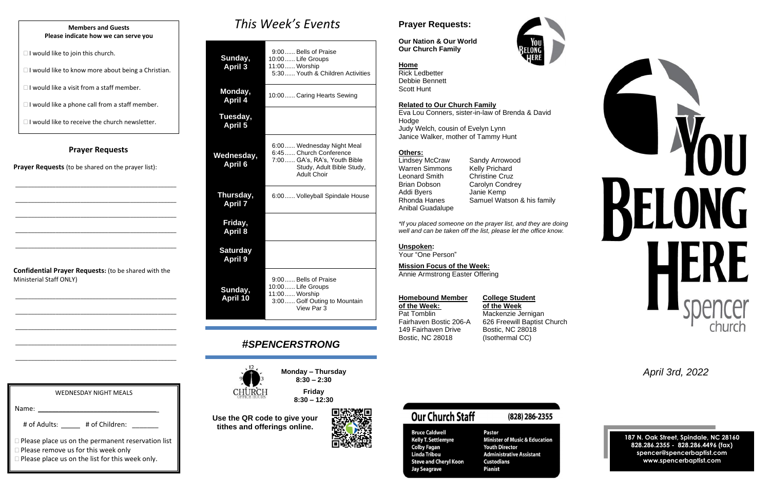#### **Prayer Requests**

**Prayer Requests** (to be shared on the prayer list):

\_\_\_\_\_\_\_\_\_\_\_\_\_\_\_\_\_\_\_\_\_\_\_\_\_\_\_\_\_\_\_\_\_\_\_\_\_\_\_\_\_\_\_\_\_\_\_\_\_\_\_\_

\_\_\_\_\_\_\_\_\_\_\_\_\_\_\_\_\_\_\_\_\_\_\_\_\_\_\_\_\_\_\_\_\_\_\_\_\_\_\_\_\_\_\_\_\_\_\_\_\_\_\_\_

\_\_\_\_\_\_\_\_\_\_\_\_\_\_\_\_\_\_\_\_\_\_\_\_\_\_\_\_\_\_\_\_\_\_\_\_\_\_\_\_\_\_\_\_\_\_\_\_\_\_\_\_

\_\_\_\_\_\_\_\_\_\_\_\_\_\_\_\_\_\_\_\_\_\_\_\_\_\_\_\_\_\_\_\_\_\_\_\_\_\_\_\_\_\_\_\_\_\_\_\_\_\_\_\_

\_\_\_\_\_\_\_\_\_\_\_\_\_\_\_\_\_\_\_\_\_\_\_\_\_\_\_\_\_\_\_\_\_\_\_\_\_\_\_\_\_\_\_\_\_\_\_\_\_\_\_\_

**Confidential Prayer Requests:** (to be shared with the Ministerial Staff ONLY)

\_\_\_\_\_\_\_\_\_\_\_\_\_\_\_\_\_\_\_\_\_\_\_\_\_\_\_\_\_\_\_\_\_\_\_\_\_\_\_\_\_\_\_\_\_\_\_\_\_\_\_\_

\_\_\_\_\_\_\_\_\_\_\_\_\_\_\_\_\_\_\_\_\_\_\_\_\_\_\_\_\_\_\_\_\_\_\_\_\_\_\_\_\_\_\_\_\_\_\_\_\_\_\_\_

\_\_\_\_\_\_\_\_\_\_\_\_\_\_\_\_\_\_\_\_\_\_\_\_\_\_\_\_\_\_\_\_\_\_\_\_\_\_\_\_\_\_\_\_\_\_\_\_\_\_\_\_

\_\_\_\_\_\_\_\_\_\_\_\_\_\_\_\_\_\_\_\_\_\_\_\_\_\_\_\_\_\_\_\_\_\_\_\_\_\_\_\_\_\_\_\_\_\_\_\_\_\_\_\_

\_\_\_\_\_\_\_\_\_\_\_\_\_\_\_\_\_\_\_\_\_\_\_\_\_\_\_\_\_\_\_\_\_\_\_\_\_\_\_\_\_\_\_\_\_\_\_\_\_\_\_\_

# *This Week's Events*

Warren Simmons Kelly Prichard Leonard Smith Christine Cruz Brian Dobson Carolyn Condrey Addi Byers Janie Kemp Anibal Guadalupe

| Sunday,<br><b>April 3</b>         | 9:00 Bells of Praise<br>10:00 Life Groups<br>11:00 Worship<br>5:30 Youth & Children Activities                                          |  |
|-----------------------------------|-----------------------------------------------------------------------------------------------------------------------------------------|--|
| Monday,<br><b>April 4</b>         | 10:00 Caring Hearts Sewing                                                                                                              |  |
| Tuesday,<br><b>April 5</b>        |                                                                                                                                         |  |
| Wednesday,<br><b>April 6</b>      | 6:00 Wednesday Night Meal<br>6:45  Church Conference<br>7:00 GA's, RA's, Youth Bible<br>Study, Adult Bible Study,<br><b>Adult Choir</b> |  |
| Thursday,<br><b>April 7</b>       | 6:00 Volleyball Spindale House                                                                                                          |  |
| Friday,<br><b>April 8</b>         |                                                                                                                                         |  |
| <b>Saturday</b><br><b>April 9</b> |                                                                                                                                         |  |
| Sunday,<br><b>April 10</b>        | 9:00 Bells of Praise<br>10:00 Life Groups<br>11:00 Worship<br>3:00 Golf Outing to Mountain<br>View Par 3                                |  |

Pat Tomblin Mackenzie Jernigan Fairhaven Bostic 206-A 626 Freewill Baptist Church 149 Fairhaven Drive Bostic, NC 28018 Bostic, NC 28018 (Isothermal CC)

# *#SPENCERSTRONG*



**Monday – Thursday 8:30 – 2:30 Friday**

**8:30 – 12:30**

| <b>WEDNESDAY NIGHT MEALS</b>                                                                                                                                     |
|------------------------------------------------------------------------------------------------------------------------------------------------------------------|
| Name:                                                                                                                                                            |
| # of Adults: # of Children:                                                                                                                                      |
| $\Box$ Please place us on the permanent reservation list<br>$\Box$ Please remove us for this week only<br>$\Box$ Please place us on the list for this week only. |

**Use the QR code to give your tithes and offerings online.**



# **Prayer Requests:**

**Our Nation & Our World Our Church Family**



**Home** Rick Ledbetter Debbie Bennett Scott Hunt

#### **Related to Our Church Family**

Eva Lou Conners, sister-in-law of Brenda & David **Hodge** Judy Welch, cousin of Evelyn Lynn Janice Walker, mother of Tammy Hunt

#### **Others:**

Lindsey McCraw Sandy Arrowood Rhonda Hanes Samuel Watson & his family

*\*If you placed someone on the prayer list, and they are doing well and can be taken off the list, please let the office know.*

#### **Unspoken:**

Your "One Person"

**Mission Focus of the Week:** Annie Armstrong Easter Offering

#### **Homebound Member College Student**

**of the Week: of the Week**

**Our Church Staff** 

**Bruce Caldwell** 

**Colby Fagan** 

**Linda Tribou** 

**Jay Seagrave** 

**Kelly T. Settlemyre** 

**Steve and Cheryl Koon** 

# (828) 286-2355

**Pastor Minister of Music & Education Youth Director Administrative Assistant Custodians Pianist** 



*April 3rd, 2022*

**187 N. Oak Street, Spindale, NC 28160 828.286.2355 - 828.286.4496 (fax) spencer@spencerbaptist.com www.spencerbaptist.com**

#### **Members and Guests Please indicate how we can serve you**

 $\Box$  I would like to join this church.

 $\Box$  I would like to know more about being a Christian.

 $\Box$  I would like a visit from a staff member.

 $\Box$  I would like a phone call from a staff member.

 $\Box$  I would like to receive the church newsletter.